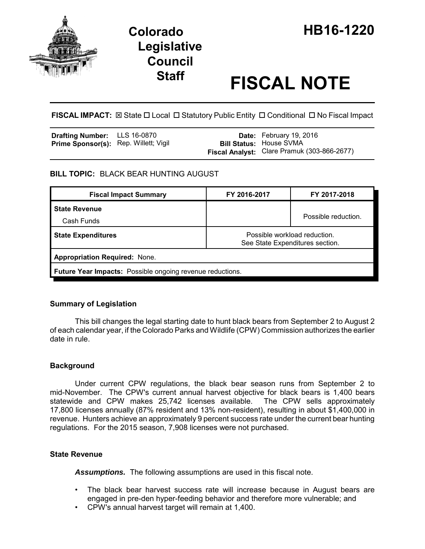

# **Legislative Council**

# **Staff FISCAL NOTE**

**FISCAL IMPACT:** ⊠ State □ Local □ Statutory Public Entity □ Conditional □ No Fiscal Impact

| <b>Drafting Number:</b> LLS 16-0870          |  | Date: February 19, 2016                                                       |
|----------------------------------------------|--|-------------------------------------------------------------------------------|
| <b>Prime Sponsor(s):</b> Rep. Willett; Vigil |  | <b>Bill Status: House SVMA</b><br>Fiscal Analyst: Clare Pramuk (303-866-2677) |

## **BILL TOPIC:** BLACK BEAR HUNTING AUGUST

| <b>Fiscal Impact Summary</b>                                     | FY 2016-2017                                                    | FY 2017-2018        |  |  |  |
|------------------------------------------------------------------|-----------------------------------------------------------------|---------------------|--|--|--|
| <b>State Revenue</b>                                             |                                                                 | Possible reduction. |  |  |  |
| Cash Funds                                                       |                                                                 |                     |  |  |  |
| <b>State Expenditures</b>                                        | Possible workload reduction.<br>See State Expenditures section. |                     |  |  |  |
| <b>Appropriation Required: None.</b>                             |                                                                 |                     |  |  |  |
| <b>Future Year Impacts:</b> Possible ongoing revenue reductions. |                                                                 |                     |  |  |  |

# **Summary of Legislation**

This bill changes the legal starting date to hunt black bears from September 2 to August 2 of each calendar year, if the Colorado Parks and Wildlife (CPW) Commission authorizes the earlier date in rule.

# **Background**

Under current CPW regulations, the black bear season runs from September 2 to mid-November. The CPW's current annual harvest objective for black bears is 1,400 bears statewide and CPW makes 25,742 licenses available. The CPW sells approximately 17,800 licenses annually (87% resident and 13% non-resident), resulting in about \$1,400,000 in revenue. Hunters achieve an approximately 9 percent success rate under the current bear hunting regulations. For the 2015 season, 7,908 licenses were not purchased.

### **State Revenue**

*Assumptions.* The following assumptions are used in this fiscal note.

- The black bear harvest success rate will increase because in August bears are engaged in pre-den hyper-feeding behavior and therefore more vulnerable; and
- CPW's annual harvest target will remain at 1,400.